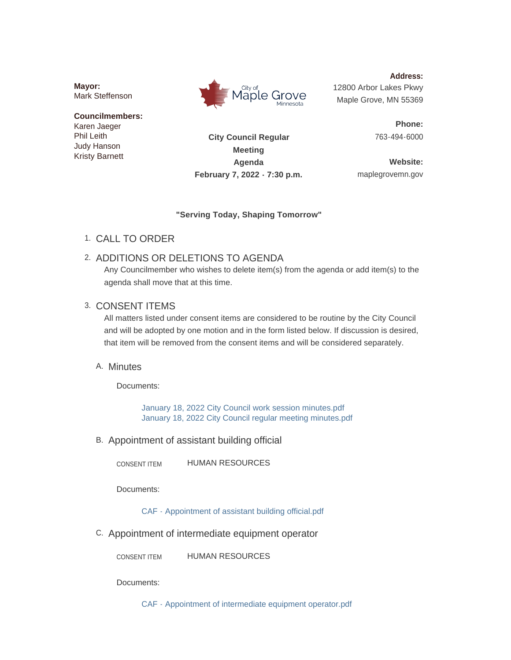**Mayor:** Mark Steffenson

#### **Councilmembers:** Karen Jaeger

Phil Leith Judy Hanson Kristy Barnett



**Address:** 12800 Arbor Lakes Pkwy Maple Grove, MN 55369

> **Phone:** 763-494-6000

**City Council Regular Meeting Agenda February 7, 2022 - 7:30 p.m.**

**Website:** maplegrovemn.gov

### **"Serving Today, Shaping Tomorrow"**

CALL TO ORDER 1.

# 2. ADDITIONS OR DELETIONS TO AGENDA

Any Councilmember who wishes to delete item(s) from the agenda or add item(s) to the agenda shall move that at this time.

# 3. CONSENT ITEMS

All matters listed under consent items are considered to be routine by the City Council and will be adopted by one motion and in the form listed below. If discussion is desired, that item will be removed from the consent items and will be considered separately.

# A. Minutes

Documents:

[January 18, 2022 City Council work session minutes.pdf](https://www.maplegrovemn.gov/AgendaCenter/ViewFile/Item/1167?fileID=4553) [January 18, 2022 City Council regular meeting minutes.pdf](https://www.maplegrovemn.gov/AgendaCenter/ViewFile/Item/1167?fileID=4554)

B. Appointment of assistant building official

HUMAN RESOURCES CONSENT ITEM

Documents:

[CAF - Appointment of assistant building official.pdf](https://www.maplegrovemn.gov/AgendaCenter/ViewFile/Item/1182?fileID=4626)

C. Appointment of intermediate equipment operator

HUMAN RESOURCES CONSENT ITEM

Documents:

[CAF - Appointment of intermediate equipment operator.pdf](https://www.maplegrovemn.gov/AgendaCenter/ViewFile/Item/1181?fileID=4627)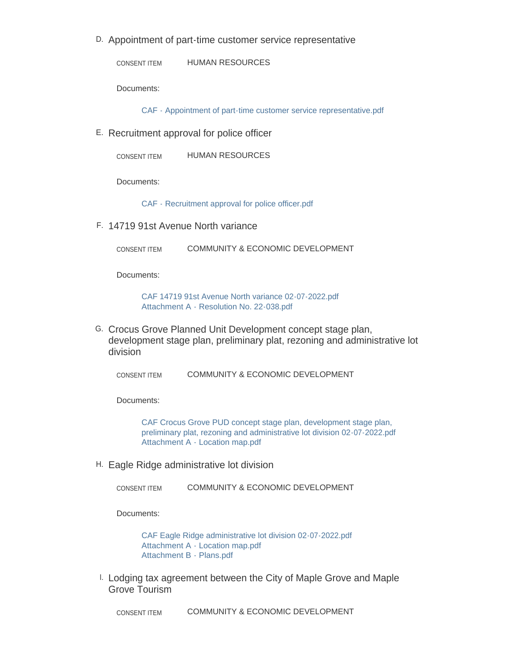D. Appointment of part-time customer service representative

HUMAN RESOURCES CONSENT ITEM

Documents:

[CAF - Appointment of part-time customer service representative.pdf](https://www.maplegrovemn.gov/AgendaCenter/ViewFile/Item/1208?fileID=4625)

E. Recruitment approval for police officer

HUMAN RESOURCES CONSENT ITEM

Documents:

[CAF - Recruitment approval for police officer.pdf](https://www.maplegrovemn.gov/AgendaCenter/ViewFile/Item/1183?fileID=4628)

14719 91st Avenue North variance F.

COMMUNITY & ECONOMIC DEVELOPMENT CONSENT ITEM

Documents:

[CAF 14719 91st Avenue North variance 02-07-2022.pdf](https://www.maplegrovemn.gov/AgendaCenter/ViewFile/Item/1189?fileID=4670) [Attachment A - Resolution No. 22-038.pdf](https://www.maplegrovemn.gov/AgendaCenter/ViewFile/Item/1189?fileID=4671)

G. Crocus Grove Planned Unit Development concept stage plan, development stage plan, preliminary plat, rezoning and administrative lot division

COMMUNITY & ECONOMIC DEVELOPMENT CONSENT ITEM

Documents:

[CAF Crocus Grove PUD concept stage plan, development stage plan,](https://www.maplegrovemn.gov/AgendaCenter/ViewFile/Item/1188?fileID=4623)  preliminary plat, rezoning and administrative lot division 02-07-2022.pdf [Attachment A - Location map.pdf](https://www.maplegrovemn.gov/AgendaCenter/ViewFile/Item/1188?fileID=4624)

Eagle Ridge administrative lot division H.

COMMUNITY & ECONOMIC DEVELOPMENT CONSENT ITEM

Documents:

[CAF Eagle Ridge administrative lot division 02-07-2022.pdf](https://www.maplegrovemn.gov/AgendaCenter/ViewFile/Item/1226?fileID=4704) [Attachment A - Location map.pdf](https://www.maplegrovemn.gov/AgendaCenter/ViewFile/Item/1226?fileID=4705) [Attachment B - Plans.pdf](https://www.maplegrovemn.gov/AgendaCenter/ViewFile/Item/1226?fileID=4706)

L Lodging tax agreement between the City of Maple Grove and Maple Grove Tourism

COMMUNITY & ECONOMIC DEVELOPMENT CONSENT ITEM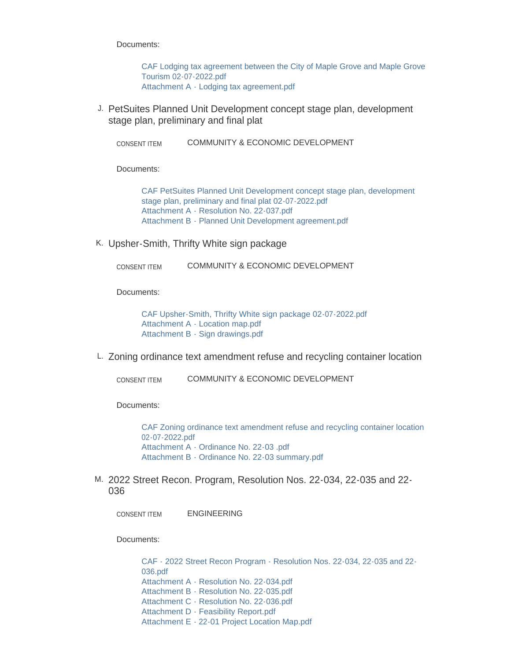Documents:

[CAF Lodging tax agreement between the City of Maple Grove and Maple Grove](https://www.maplegrovemn.gov/AgendaCenter/ViewFile/Item/1177?fileID=4592)  Tourism 02-07-2022.pdf [Attachment A - Lodging tax agreement.pdf](https://www.maplegrovemn.gov/AgendaCenter/ViewFile/Item/1177?fileID=4591)

J. PetSuites Planned Unit Development concept stage plan, development stage plan, preliminary and final plat

COMMUNITY & ECONOMIC DEVELOPMENT CONSENT ITEM

Documents:

[CAF PetSuites Planned Unit Development concept stage plan, development](https://www.maplegrovemn.gov/AgendaCenter/ViewFile/Item/1184?fileID=4605)  stage plan, preliminary and final plat 02-07-2022.pdf [Attachment A - Resolution No. 22-037.pdf](https://www.maplegrovemn.gov/AgendaCenter/ViewFile/Item/1184?fileID=4606) [Attachment B - Planned Unit Development agreement.pdf](https://www.maplegrovemn.gov/AgendaCenter/ViewFile/Item/1184?fileID=4607)

K. Upsher-Smith, Thrifty White sign package

COMMUNITY & ECONOMIC DEVELOPMENT CONSENT ITEM

Documents:

[CAF Upsher-Smith, Thrifty White sign package 02-07-2022.pdf](https://www.maplegrovemn.gov/AgendaCenter/ViewFile/Item/1185?fileID=4608) [Attachment A - Location map.pdf](https://www.maplegrovemn.gov/AgendaCenter/ViewFile/Item/1185?fileID=4609) [Attachment B - Sign drawings.pdf](https://www.maplegrovemn.gov/AgendaCenter/ViewFile/Item/1185?fileID=4610)

L. Zoning ordinance text amendment refuse and recycling container location

COMMUNITY & ECONOMIC DEVELOPMENT CONSENT ITEM

Documents:

[CAF Zoning ordinance text amendment refuse and recycling container location](https://www.maplegrovemn.gov/AgendaCenter/ViewFile/Item/1187?fileID=4698)  02-07-2022.pdf [Attachment A - Ordinance No. 22-03 .pdf](https://www.maplegrovemn.gov/AgendaCenter/ViewFile/Item/1187?fileID=4613) [Attachment B - Ordinance No. 22-03 summary.pdf](https://www.maplegrovemn.gov/AgendaCenter/ViewFile/Item/1187?fileID=4614)

M. 2022 Street Recon. Program, Resolution Nos. 22-034, 22-035 and 22-036

ENGINEERING CONSENT ITEM

Documents:

[CAF - 2022 Street Recon Program - Resolution Nos. 22-034, 22-035 and 22-](https://www.maplegrovemn.gov/AgendaCenter/ViewFile/Item/1209?fileID=4636) 036.pdf [Attachment A - Resolution No. 22-034.pdf](https://www.maplegrovemn.gov/AgendaCenter/ViewFile/Item/1209?fileID=4633) [Attachment B - Resolution No. 22-035.pdf](https://www.maplegrovemn.gov/AgendaCenter/ViewFile/Item/1209?fileID=4634) [Attachment C - Resolution No. 22-036.pdf](https://www.maplegrovemn.gov/AgendaCenter/ViewFile/Item/1209?fileID=4635) [Attachment D - Feasibility Report.pdf](https://www.maplegrovemn.gov/AgendaCenter/ViewFile/Item/1209?fileID=4696) [Attachment E - 22-01 Project Location Map.pdf](https://www.maplegrovemn.gov/AgendaCenter/ViewFile/Item/1209?fileID=4629)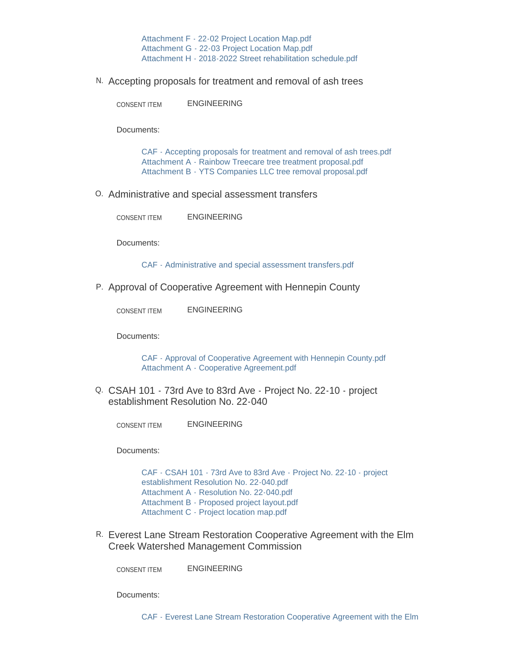[Attachment F - 22-02 Project Location Map.pdf](https://www.maplegrovemn.gov/AgendaCenter/ViewFile/Item/1209?fileID=4630) [Attachment G - 22-03 Project Location Map.pdf](https://www.maplegrovemn.gov/AgendaCenter/ViewFile/Item/1209?fileID=4631) [Attachment H - 2018-2022 Street rehabilitation schedule.pdf](https://www.maplegrovemn.gov/AgendaCenter/ViewFile/Item/1209?fileID=4632)

Accepting proposals for treatment and removal of ash trees N.

ENGINEERING CONSENT ITEM

Documents:

[CAF - Accepting proposals for treatment and removal of ash trees.pdf](https://www.maplegrovemn.gov/AgendaCenter/ViewFile/Item/1211?fileID=4639) [Attachment A - Rainbow Treecare tree treatment proposal.pdf](https://www.maplegrovemn.gov/AgendaCenter/ViewFile/Item/1211?fileID=4640) [Attachment B - YTS Companies LLC tree removal proposal.pdf](https://www.maplegrovemn.gov/AgendaCenter/ViewFile/Item/1211?fileID=4641)

Administrative and special assessment transfers O.

ENGINEERING CONSENT ITEM

Documents:

[CAF - Administrative and special assessment transfers.pdf](https://www.maplegrovemn.gov/AgendaCenter/ViewFile/Item/1218?fileID=4657)

P. Approval of Cooperative Agreement with Hennepin County

ENGINEERING CONSENT ITEM

Documents:

[CAF - Approval of Cooperative Agreement with Hennepin County.pdf](https://www.maplegrovemn.gov/AgendaCenter/ViewFile/Item/1217?fileID=4655) [Attachment A - Cooperative Agreement.pdf](https://www.maplegrovemn.gov/AgendaCenter/ViewFile/Item/1217?fileID=4656)

Q. CSAH 101 - 73rd Ave to 83rd Ave - Project No. 22-10 - project establishment Resolution No. 22-040

ENGINEERING CONSENT ITEM

Documents:

[CAF - CSAH 101 - 73rd Ave to 83rd Ave - Project No. 22-10 - project](https://www.maplegrovemn.gov/AgendaCenter/ViewFile/Item/1213?fileID=4662)  establishment Resolution No. 22-040.pdf [Attachment A - Resolution No. 22-040.pdf](https://www.maplegrovemn.gov/AgendaCenter/ViewFile/Item/1213?fileID=4648) [Attachment B - Proposed project layout.pdf](https://www.maplegrovemn.gov/AgendaCenter/ViewFile/Item/1213?fileID=4646) [Attachment C - Project location map.pdf](https://www.maplegrovemn.gov/AgendaCenter/ViewFile/Item/1213?fileID=4647)

R. Everest Lane Stream Restoration Cooperative Agreement with the Elm Creek Watershed Management Commission

ENGINEERING CONSENT ITEM

Documents: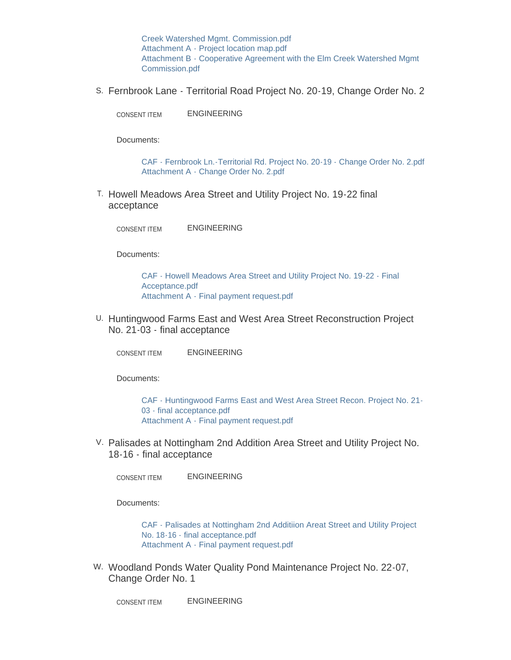Creek Watershed Mgmt. Commission.pdf [Attachment A - Project location map.pdf](https://www.maplegrovemn.gov/AgendaCenter/ViewFile/Item/1212?fileID=4643) [Attachment B - Cooperative Agreement with the Elm Creek Watershed Mgmt](https://www.maplegrovemn.gov/AgendaCenter/ViewFile/Item/1212?fileID=4644)  Commission.pdf

S. Fernbrook Lane - Territorial Road Project No. 20-19, Change Order No. 2

ENGINEERING CONSENT ITEM

Documents:

[CAF - Fernbrook Ln.-Territorial Rd. Project No. 20-19 - Change Order No. 2.pdf](https://www.maplegrovemn.gov/AgendaCenter/ViewFile/Item/1215?fileID=4651) [Attachment A - Change Order No. 2.pdf](https://www.maplegrovemn.gov/AgendaCenter/ViewFile/Item/1215?fileID=4652)

T. Howell Meadows Area Street and Utility Project No. 19-22 final acceptance

ENGINEERING CONSENT ITEM

Documents:

[CAF - Howell Meadows Area Street and Utility Project No. 19-22 - Final](https://www.maplegrovemn.gov/AgendaCenter/ViewFile/Item/1214?fileID=4649)  Acceptance.pdf [Attachment A - Final payment request.pdf](https://www.maplegrovemn.gov/AgendaCenter/ViewFile/Item/1214?fileID=4650)

U. Huntingwood Farms East and West Area Street Reconstruction Project No. 21-03 - final acceptance

ENGINEERING CONSENT ITEM

Documents:

[CAF - Huntingwood Farms East and West Area Street Recon. Project No. 21-](https://www.maplegrovemn.gov/AgendaCenter/ViewFile/Item/1210?fileID=4637) 03 - final acceptance.pdf [Attachment A - Final payment request.pdf](https://www.maplegrovemn.gov/AgendaCenter/ViewFile/Item/1210?fileID=4638)

V. Palisades at Nottingham 2nd Addition Area Street and Utility Project No. 18-16 - final acceptance

ENGINEERING CONSENT ITEM

Documents:

[CAF - Palisades at Nottingham 2nd Additiion Areat Street and Utility Project](https://www.maplegrovemn.gov/AgendaCenter/ViewFile/Item/1216?fileID=4653)  No. 18-16 - final acceptance.pdf [Attachment A - Final payment request.pdf](https://www.maplegrovemn.gov/AgendaCenter/ViewFile/Item/1216?fileID=4654)

W. Woodland Ponds Water Quality Pond Maintenance Project No. 22-07, Change Order No. 1

ENGINEERING CONSENT ITEM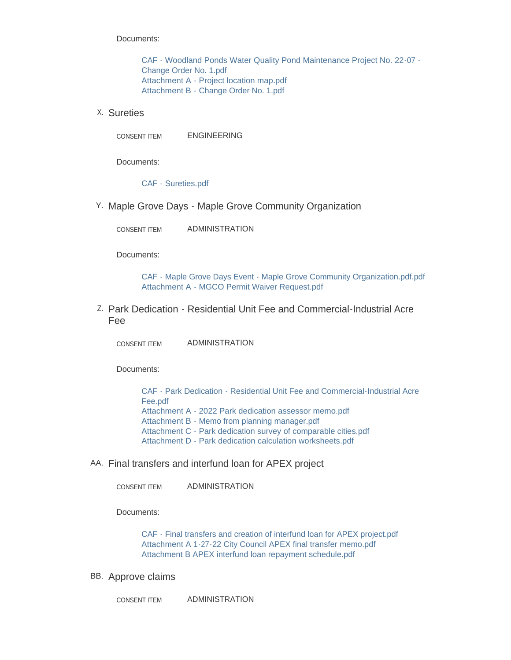Documents:

[CAF - Woodland Ponds Water Quality Pond Maintenance Project No. 22-07 -](https://www.maplegrovemn.gov/AgendaCenter/ViewFile/Item/1219?fileID=4658) Change Order No. 1.pdf [Attachment A - Project location map.pdf](https://www.maplegrovemn.gov/AgendaCenter/ViewFile/Item/1219?fileID=4660) [Attachment B - Change Order No. 1.pdf](https://www.maplegrovemn.gov/AgendaCenter/ViewFile/Item/1219?fileID=4659)

Sureties X.

CONSENT ITEM ENGINEERING

Documents:

[CAF - Sureties.pdf](https://www.maplegrovemn.gov/AgendaCenter/ViewFile/Item/1220?fileID=4661)

Y. Maple Grove Days - Maple Grove Community Organization

ADMINISTRATION CONSENT ITEM

Documents:

[CAF - Maple Grove Days Event - Maple Grove Community Organization.pdf.pdf](https://www.maplegrovemn.gov/AgendaCenter/ViewFile/Item/1221?fileID=4707) [Attachment A - MGCO Permit Waiver Request.pdf](https://www.maplegrovemn.gov/AgendaCenter/ViewFile/Item/1221?fileID=4664)

Park Dedication - Residential Unit Fee and Commercial-Industrial Acre Z. Fee

ADMINISTRATION CONSENT ITEM

Documents:

[CAF - Park Dedication - Residential Unit Fee and Commercial-Industrial Acre](https://www.maplegrovemn.gov/AgendaCenter/ViewFile/Item/1222?fileID=4665)  Fee.pdf [Attachment A - 2022 Park dedication assessor memo.pdf](https://www.maplegrovemn.gov/AgendaCenter/ViewFile/Item/1222?fileID=4687) [Attachment B - Memo from planning manager.pdf](https://www.maplegrovemn.gov/AgendaCenter/ViewFile/Item/1222?fileID=4688) [Attachment C - Park dedication survey of comparable cities.pdf](https://www.maplegrovemn.gov/AgendaCenter/ViewFile/Item/1222?fileID=4689) [Attachment D - Park dedication calculation worksheets.pdf](https://www.maplegrovemn.gov/AgendaCenter/ViewFile/Item/1222?fileID=4690)

AA. Final transfers and interfund loan for APEX project

ADMINISTRATION CONSENT ITEM

Documents:

[CAF - Final transfers and creation of interfund loan for APEX project.pdf](https://www.maplegrovemn.gov/AgendaCenter/ViewFile/Item/1176?fileID=4616) [Attachment A 1-27-22 City Council APEX final transfer memo.pdf](https://www.maplegrovemn.gov/AgendaCenter/ViewFile/Item/1176?fileID=4588) [Attachment B APEX interfund loan repayment schedule.pdf](https://www.maplegrovemn.gov/AgendaCenter/ViewFile/Item/1176?fileID=4589)

BB. Approve claims

ADMINISTRATION CONSENT ITEM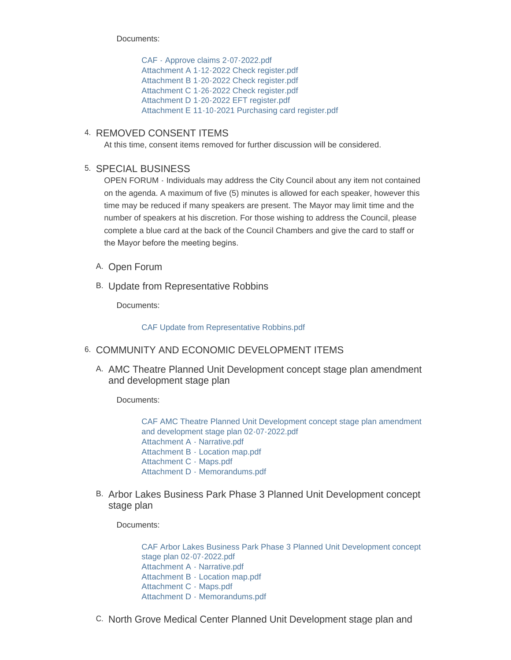Documents:

[CAF - Approve claims 2-07-2022.pdf](https://www.maplegrovemn.gov/AgendaCenter/ViewFile/Item/1174?fileID=4580) [Attachment A 1-12-2022 Check register.pdf](https://www.maplegrovemn.gov/AgendaCenter/ViewFile/Item/1174?fileID=4584) [Attachment B 1-20-2022 Check register.pdf](https://www.maplegrovemn.gov/AgendaCenter/ViewFile/Item/1174?fileID=4585) [Attachment C 1-26-2022 Check register.pdf](https://www.maplegrovemn.gov/AgendaCenter/ViewFile/Item/1174?fileID=4581) [Attachment D 1-20-2022 EFT register.pdf](https://www.maplegrovemn.gov/AgendaCenter/ViewFile/Item/1174?fileID=4582) [Attachment E 11-10-2021 Purchasing card register.pdf](https://www.maplegrovemn.gov/AgendaCenter/ViewFile/Item/1174?fileID=4583)

### 4. REMOVED CONSENT ITEMS

At this time, consent items removed for further discussion will be considered.

## 5. SPECIAL BUSINESS

OPEN FORUM - Individuals may address the City Council about any item not contained on the agenda. A maximum of five (5) minutes is allowed for each speaker, however this time may be reduced if many speakers are present. The Mayor may limit time and the number of speakers at his discretion. For those wishing to address the Council, please complete a blue card at the back of the Council Chambers and give the card to staff or the Mayor before the meeting begins.

- A. Open Forum
- B. Update from Representative Robbins

Documents:

[CAF Update from Representative Robbins.pdf](https://www.maplegrovemn.gov/AgendaCenter/ViewFile/Item/1175?fileID=4702)

### 6. COMMUNITY AND ECONOMIC DEVELOPMENT ITEMS

A. AMC Theatre Planned Unit Development concept stage plan amendment and development stage plan

Documents:

[CAF AMC Theatre Planned Unit Development concept stage plan amendment](https://www.maplegrovemn.gov/AgendaCenter/ViewFile/Item/1192?fileID=4617)  and development stage plan 02-07-2022.pdf [Attachment A - Narrative.pdf](https://www.maplegrovemn.gov/AgendaCenter/ViewFile/Item/1192?fileID=4618) [Attachment B - Location map.pdf](https://www.maplegrovemn.gov/AgendaCenter/ViewFile/Item/1192?fileID=4619) [Attachment C - Maps.pdf](https://www.maplegrovemn.gov/AgendaCenter/ViewFile/Item/1192?fileID=4712) [Attachment D - Memorandums.pdf](https://www.maplegrovemn.gov/AgendaCenter/ViewFile/Item/1192?fileID=4621)

B. Arbor Lakes Business Park Phase 3 Planned Unit Development concept stage plan

Documents:

[CAF Arbor Lakes Business Park Phase 3 Planned Unit Development concept](https://www.maplegrovemn.gov/AgendaCenter/ViewFile/Item/1179?fileID=4604)  stage plan 02-07-2022.pdf [Attachment A - Narrative.pdf](https://www.maplegrovemn.gov/AgendaCenter/ViewFile/Item/1179?fileID=4599) [Attachment B - Location map.pdf](https://www.maplegrovemn.gov/AgendaCenter/ViewFile/Item/1179?fileID=4600) [Attachment C - Maps.pdf](https://www.maplegrovemn.gov/AgendaCenter/ViewFile/Item/1179?fileID=4601) [Attachment D - Memorandums.pdf](https://www.maplegrovemn.gov/AgendaCenter/ViewFile/Item/1179?fileID=4602)

C. North Grove Medical Center Planned Unit Development stage plan and